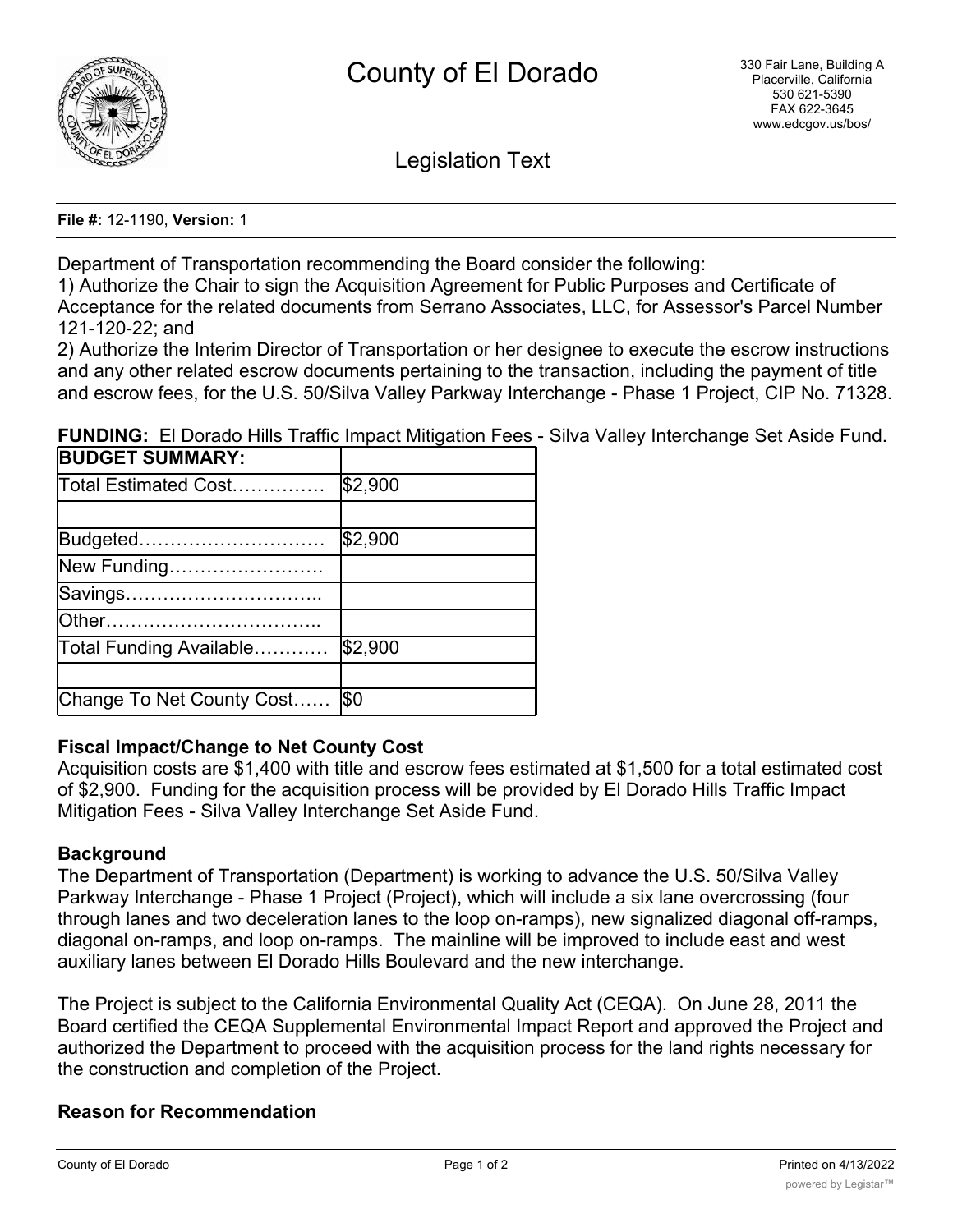

Legislation Text

**File #:** 12-1190, **Version:** 1

Department of Transportation recommending the Board consider the following:

1) Authorize the Chair to sign the Acquisition Agreement for Public Purposes and Certificate of Acceptance for the related documents from Serrano Associates, LLC, for Assessor's Parcel Number 121-120-22; and

2) Authorize the Interim Director of Transportation or her designee to execute the escrow instructions and any other related escrow documents pertaining to the transaction, including the payment of title and escrow fees, for the U.S. 50/Silva Valley Parkway Interchange - Phase 1 Project, CIP No. 71328.

**FUNDING:** El Dorado Hills Traffic Impact Mitigation Fees - Silva Valley Interchange Set Aside Fund.

| \$2,900    |
|------------|
|            |
| \$2,900    |
|            |
|            |
|            |
| \$2,900    |
|            |
| <b>\$Ο</b> |
|            |

## **Fiscal Impact/Change to Net County Cost**

Acquisition costs are \$1,400 with title and escrow fees estimated at \$1,500 for a total estimated cost of \$2,900. Funding for the acquisition process will be provided by El Dorado Hills Traffic Impact Mitigation Fees - Silva Valley Interchange Set Aside Fund.

## **Background**

The Department of Transportation (Department) is working to advance the U.S. 50/Silva Valley Parkway Interchange - Phase 1 Project (Project), which will include a six lane overcrossing (four through lanes and two deceleration lanes to the loop on-ramps), new signalized diagonal off-ramps, diagonal on-ramps, and loop on-ramps. The mainline will be improved to include east and west auxiliary lanes between El Dorado Hills Boulevard and the new interchange.

The Project is subject to the California Environmental Quality Act (CEQA). On June 28, 2011 the Board certified the CEQA Supplemental Environmental Impact Report and approved the Project and authorized the Department to proceed with the acquisition process for the land rights necessary for the construction and completion of the Project.

## **Reason for Recommendation**